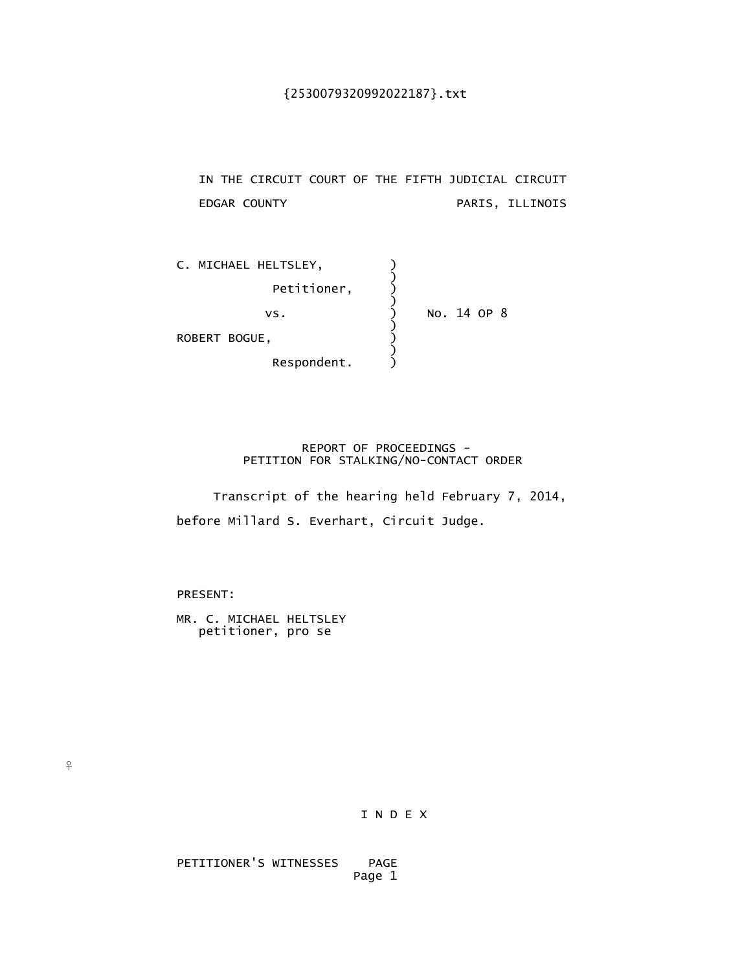IN THE CIRCUIT COURT OF THE FIFTH JUDICIAL CIRCUIT EDGAR COUNTY PARIS, ILLINOIS

| C. MICHAEL HELTSLEY, |             |  |  |
|----------------------|-------------|--|--|
| Petitioner,          |             |  |  |
| VS.                  | No. 14 OP 8 |  |  |
| ROBERT BOGUE,        |             |  |  |
| Respondent.          |             |  |  |

 REPORT OF PROCEEDINGS - PETITION FOR STALKING/NO-CONTACT ORDER

 Transcript of the hearing held February 7, 2014, before Millard S. Everhart, Circuit Judge.

PRESENT:

 $\frac{9}{5}$ 

 MR. C. MICHAEL HELTSLEY petitioner, pro se

I N D E X

 PETITIONER'S WITNESSES PAGE Page 1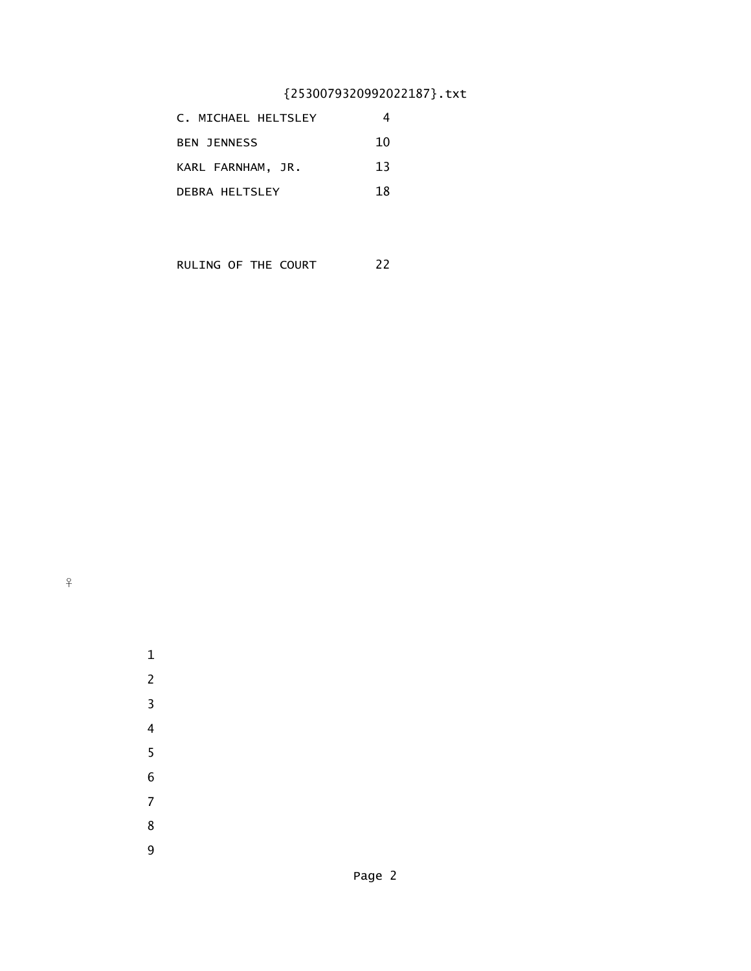| C. MICHAEL HELTSLEY   |    |
|-----------------------|----|
| <b>BEN JENNESS</b>    | 10 |
| KARL FARNHAM, JR.     | 13 |
| <b>DEBRA HELTSLEY</b> | 18 |

RULING OF THE COURT 22

 $\, \hat{+}$ 



 1 2

 3 4

 5 6

 7 8 9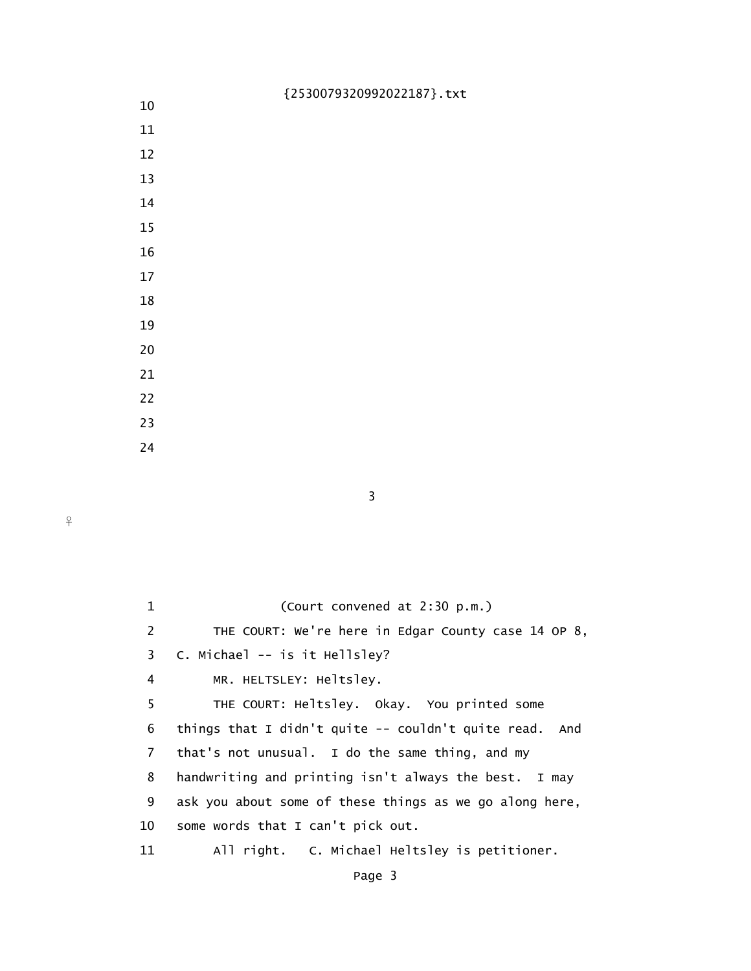- 10
- 11
- 12
- 13
- 14
- 15
- 16
- 17
- 
- 18
- 19
- 20
- 21
- 22
- 23

3

24

| $\mathbf{1}$ | (Court convened at 2:30 p.m.)                           |
|--------------|---------------------------------------------------------|
| 2            | THE COURT: We're here in Edgar County case 14 OP 8,     |
| 3            | C. Michael -- is it Hellsley?                           |
| 4            | MR. HELTSLEY: Heltsley.                                 |
| 5            | THE COURT: Heltsley. Okay. You printed some             |
| 6            | things that I didn't quite $-$ couldn't quite read. And |
| 7            | that's not unusual. I do the same thing, and my         |
| 8            | handwriting and printing isn't always the best. I may   |
| 9            | ask you about some of these things as we go along here, |
| 10           | some words that I can't pick out.                       |
| 11           | All right. C. Michael Heltsley is petitioner.           |
|              |                                                         |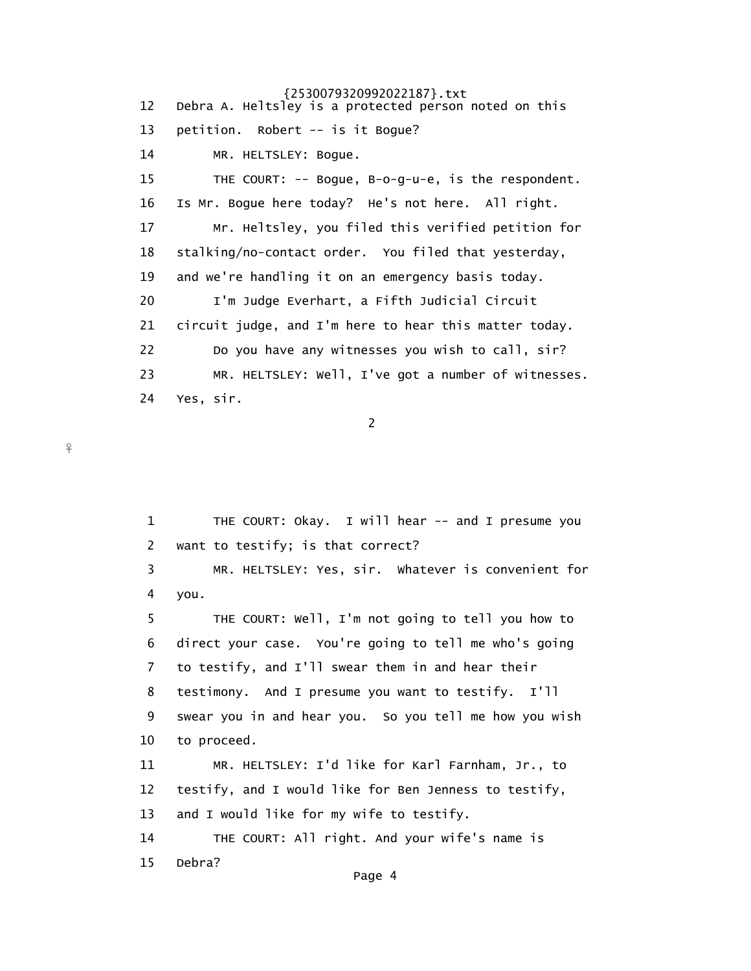12 Debra A. Heltsley is a protected person noted on this 13 petition. Robert -- is it Bogue? 14 MR. HELTSLEY: Bogue. 15 THE COURT: -- Bogue, B-o-g-u-e, is the respondent. 16 Is Mr. Bogue here today? He's not here. All right. 17 Mr. Heltsley, you filed this verified petition for 18 stalking/no-contact order. You filed that yesterday, 19 and we're handling it on an emergency basis today. 20 I'm Judge Everhart, a Fifth Judicial Circuit 21 circuit judge, and I'm here to hear this matter today. 22 Do you have any witnesses you wish to call, sir? 23 MR. HELTSLEY: Well, I've got a number of witnesses. 24 Yes, sir.

2

 1 THE COURT: Okay. I will hear -- and I presume you 2 want to testify; is that correct? 3 MR. HELTSLEY: Yes, sir. Whatever is convenient for 4 you. 5 THE COURT: Well, I'm not going to tell you how to 6 direct your case. You're going to tell me who's going 7 to testify, and I'll swear them in and hear their 8 testimony. And I presume you want to testify. I'll 9 swear you in and hear you. So you tell me how you wish 10 to proceed. 11 MR. HELTSLEY: I'd like for Karl Farnham, Jr., to 12 testify, and I would like for Ben Jenness to testify, 13 and I would like for my wife to testify. 14 THE COURT: All right. And your wife's name is 15 Debra? Page 4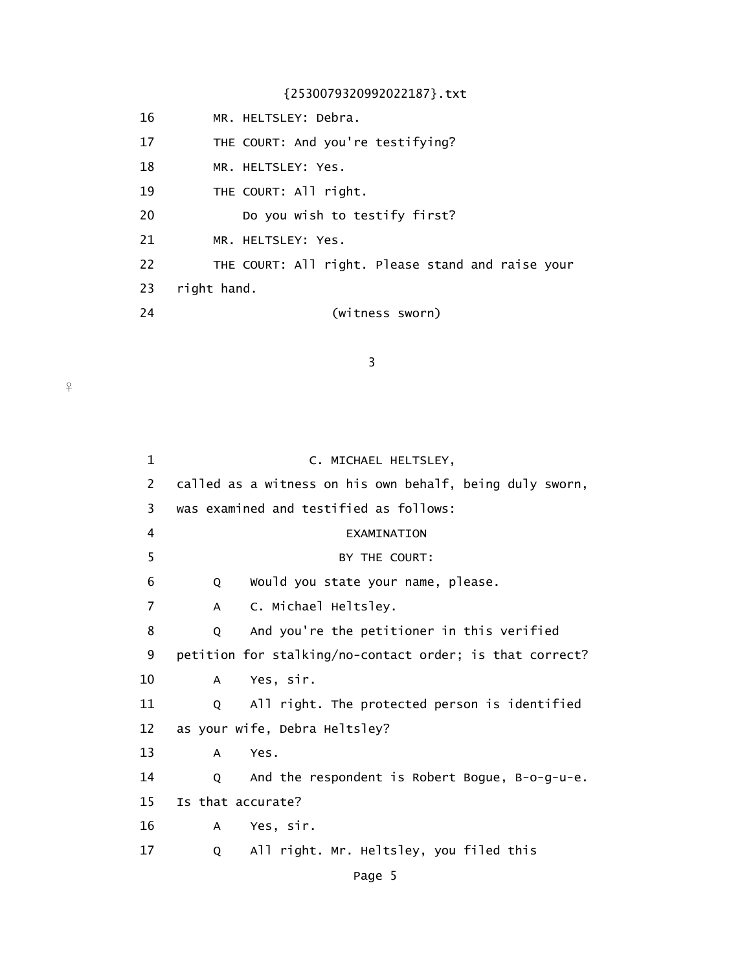16 MR. HELTSLEY: Debra. 17 THE COURT: And you're testifying? 18 MR. HELTSLEY: Yes. 19 THE COURT: All right. 20 Do you wish to testify first? 21 MR. HELTSLEY: Yes.

22 THE COURT: All right. Please stand and raise your

- 23 right hand.
- 

24 (witness sworn)

3

| 1  | C. MICHAEL HELTSLEY,                                     |
|----|----------------------------------------------------------|
| 2  | called as a witness on his own behalf, being duly sworn, |
| 3  | was examined and testified as follows:                   |
| 4  | EXAMINATION                                              |
| 5  | BY THE COURT:                                            |
| 6  | Would you state your name, please.<br>Q                  |
| 7  | C. Michael Heltsley.<br>A                                |
| 8  | And you're the petitioner in this verified<br>Q          |
| 9  | petition for stalking/no-contact order; is that correct? |
| 10 | Yes, sir.<br>A                                           |
| 11 | All right. The protected person is identified<br>Q       |
| 12 | as your wife, Debra Heltsley?                            |
| 13 | Yes.<br>A                                                |
| 14 | And the respondent is Robert Bogue, B-o-g-u-e.<br>Q      |
| 15 | Is that accurate?                                        |
| 16 | Yes, sir.<br>$\mathsf{A}$                                |
| 17 | All right. Mr. Heltsley, you filed this<br>Q             |
|    |                                                          |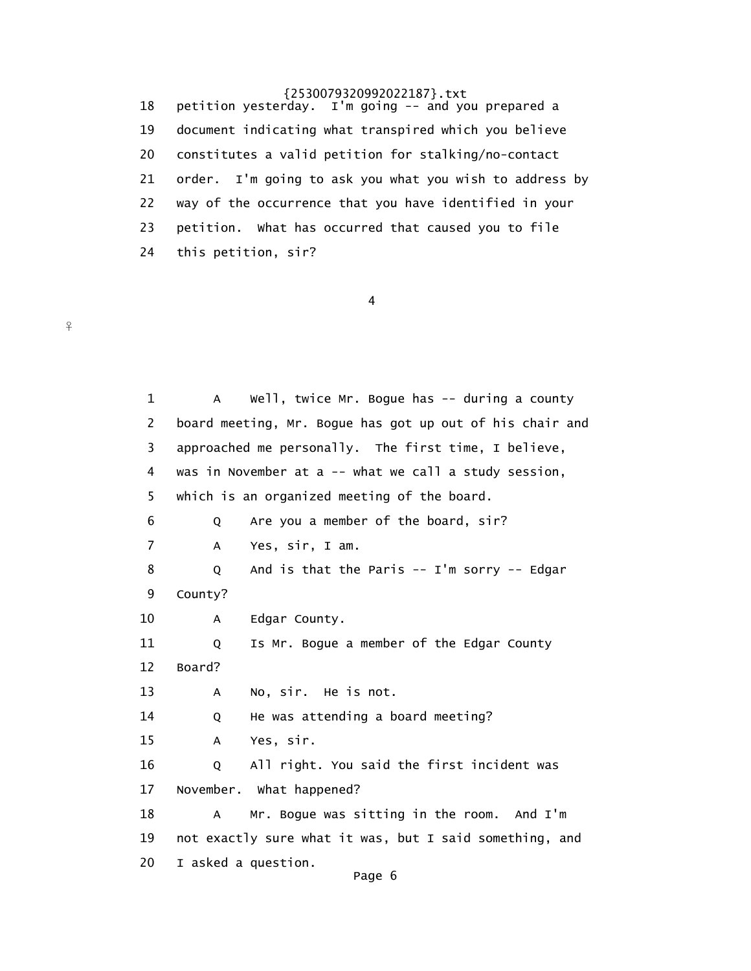18 petition yesterday. I'm going -- and you prepared a 19 document indicating what transpired which you believe 20 constitutes a valid petition for stalking/no-contact 21 order. I'm going to ask you what you wish to address by 22 way of the occurrence that you have identified in your 23 petition. What has occurred that caused you to file 24 this petition, sir?

4

 $\frac{9}{5}$ 

1 A Well, twice Mr. Bogue has -- during a county 2 board meeting, Mr. Bogue has got up out of his chair and 3 approached me personally. The first time, I believe, 4 was in November at a -- what we call a study session, 5 which is an organized meeting of the board. 6 Q Are you a member of the board, sir? 7 A Yes, sir, I am. 8 Q And is that the Paris -- I'm sorry -- Edgar 9 County? 10 A Edgar County. 11 Q Is Mr. Bogue a member of the Edgar County 12 Board? 13 A No, sir. He is not. 14 Q He was attending a board meeting? 15 A Yes, sir. 16 Q All right. You said the first incident was 17 November. What happened? 18 A Mr. Bogue was sitting in the room. And I'm 19 not exactly sure what it was, but I said something, and 20 I asked a question. Page 6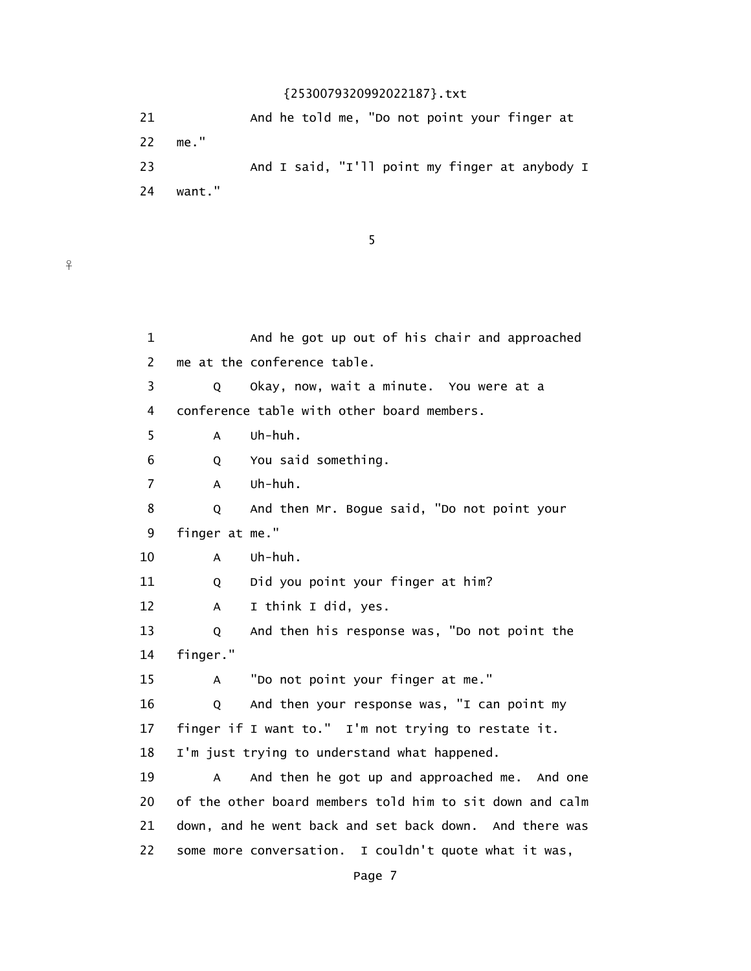21 And he told me, "Do not point your finger at 22 me." 23 And I said, "I'll point my finger at anybody I 24 want."

 $\sim$  5

 $\overline{f}$ 

| $\mathbf 1$    |                | And he got up out of his chair and approached            |
|----------------|----------------|----------------------------------------------------------|
| 2              |                | me at the conference table.                              |
| 3              | Q              | Okay, now, wait a minute. You were at a                  |
| 4              |                | conference table with other board members.               |
| 5              | A              | Uh-huh.                                                  |
| 6              | Q              | You said something.                                      |
| $\overline{7}$ | A              | Uh-huh.                                                  |
| 8              | Q              | And then Mr. Bogue said, "Do not point your              |
| 9              | finger at me." |                                                          |
| 10             | A              | Uh-huh.                                                  |
| 11             | Q              | Did you point your finger at him?                        |
| 12             | A              | I think I did, yes.                                      |
| 13             | Q              | And then his response was, "Do not point the             |
| 14             | finger."       |                                                          |
| 15             | A              | "Do not point your finger at me."                        |
| 16             | Q              | And then your response was, "I can point my              |
| 17             |                | finger if I want to." I'm not trying to restate it.      |
| 18             |                | I'm just trying to understand what happened.             |
| 19             | A              | And then he got up and approached me. And one            |
| 20             |                | of the other board members told him to sit down and calm |
| 21             |                | down, and he went back and set back down. And there was  |
| 22             |                | some more conversation. I couldn't quote what it was,    |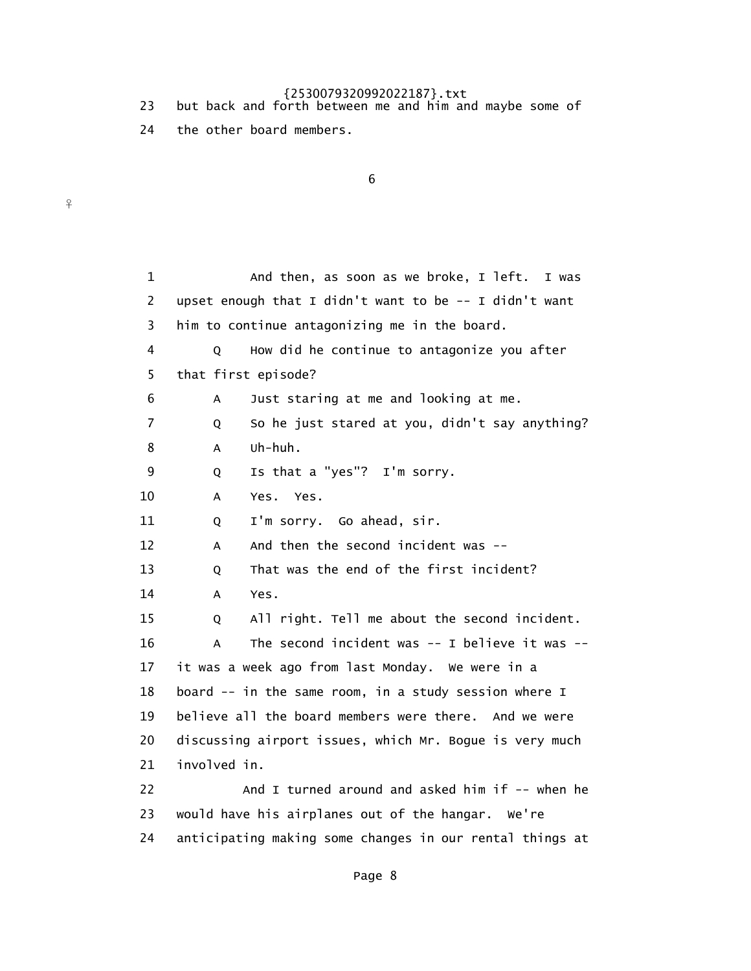- 23 but back and forth between me and him and maybe some of
	- 24 the other board members.

 $\frac{9}{1}$ 

 $\sim$  6

 1 And then, as soon as we broke, I left. I was 2 upset enough that I didn't want to be -- I didn't want 3 him to continue antagonizing me in the board. 4 Q How did he continue to antagonize you after 5 that first episode? 6 A Just staring at me and looking at me. 7 Q So he just stared at you, didn't say anything? 8 A Uh-huh. 9 Q Is that a "yes"? I'm sorry. 10 A Yes. Yes. 11 Q I'm sorry. Go ahead, sir. 12 A And then the second incident was -- 13 Q That was the end of the first incident? 14 A Yes. 15 Q All right. Tell me about the second incident. 16 A The second incident was -- I believe it was -- 17 it was a week ago from last Monday. We were in a 18 board -- in the same room, in a study session where I 19 believe all the board members were there. And we were 20 discussing airport issues, which Mr. Bogue is very much 21 involved in. 22 And I turned around and asked him if -- when he 23 would have his airplanes out of the hangar. We're 24 anticipating making some changes in our rental things at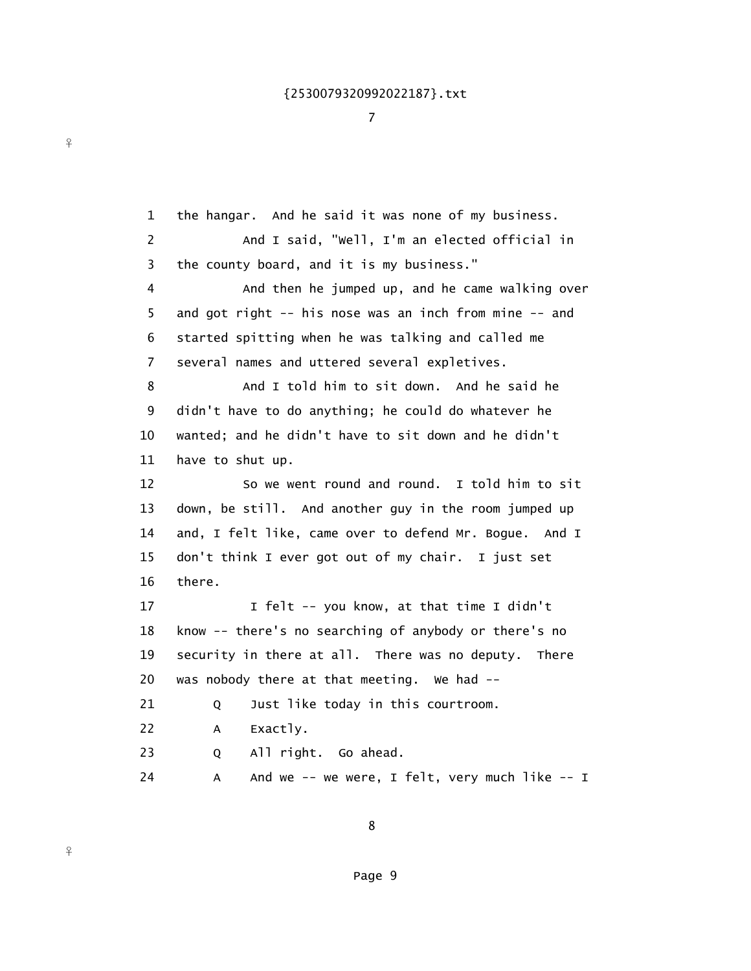7

 1 the hangar. And he said it was none of my business. 2 And I said, "Well, I'm an elected official in 3 the county board, and it is my business." 4 And then he jumped up, and he came walking over 5 and got right -- his nose was an inch from mine -- and 6 started spitting when he was talking and called me 7 several names and uttered several expletives. 8 And I told him to sit down. And he said he 9 didn't have to do anything; he could do whatever he 10 wanted; and he didn't have to sit down and he didn't 11 have to shut up. 12 So we went round and round. I told him to sit 13 down, be still. And another guy in the room jumped up 14 and, I felt like, came over to defend Mr. Bogue. And I 15 don't think I ever got out of my chair. I just set 16 there. 17 1 I felt -- you know, at that time I didn't 18 know -- there's no searching of anybody or there's no 19 security in there at all. There was no deputy. There 20 was nobody there at that meeting. We had -- 21 O Just like today in this courtroom. 22 A Exactly. 23 Q All right. Go ahead. 24 A And we -- we were, I felt, very much like -- I

8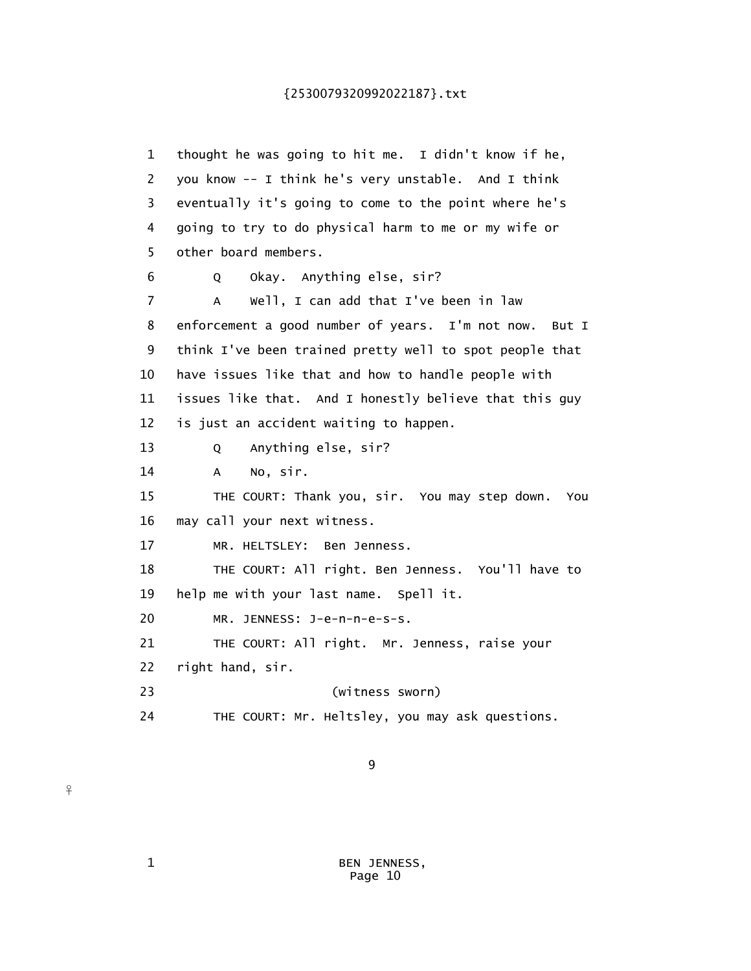1 thought he was going to hit me. I didn't know if he, 2 you know -- I think he's very unstable. And I think 3 eventually it's going to come to the point where he's 4 going to try to do physical harm to me or my wife or 5 other board members. 6 Q Okay. Anything else, sir? 7 A Well, I can add that I've been in law 8 enforcement a good number of years. I'm not now. But I 9 think I've been trained pretty well to spot people that 10 have issues like that and how to handle people with 11 issues like that. And I honestly believe that this guy 12 is just an accident waiting to happen. 13 Q Anything else, sir? 14 A No, sir. 15 THE COURT: Thank you, sir. You may step down. You 16 may call your next witness. 17 MR. HELTSLEY: Ben Jenness. 18 THE COURT: All right. Ben Jenness. You'll have to 19 help me with your last name. Spell it. 20 MR. JENNESS: J-e-n-n-e-s-s. 21 THE COURT: All right. Mr. Jenness, raise your 22 right hand, sir. 23 (witness sworn) 24 THE COURT: Mr. Heltsley, you may ask questions.

9

 1 BEN JENNESS, Page 10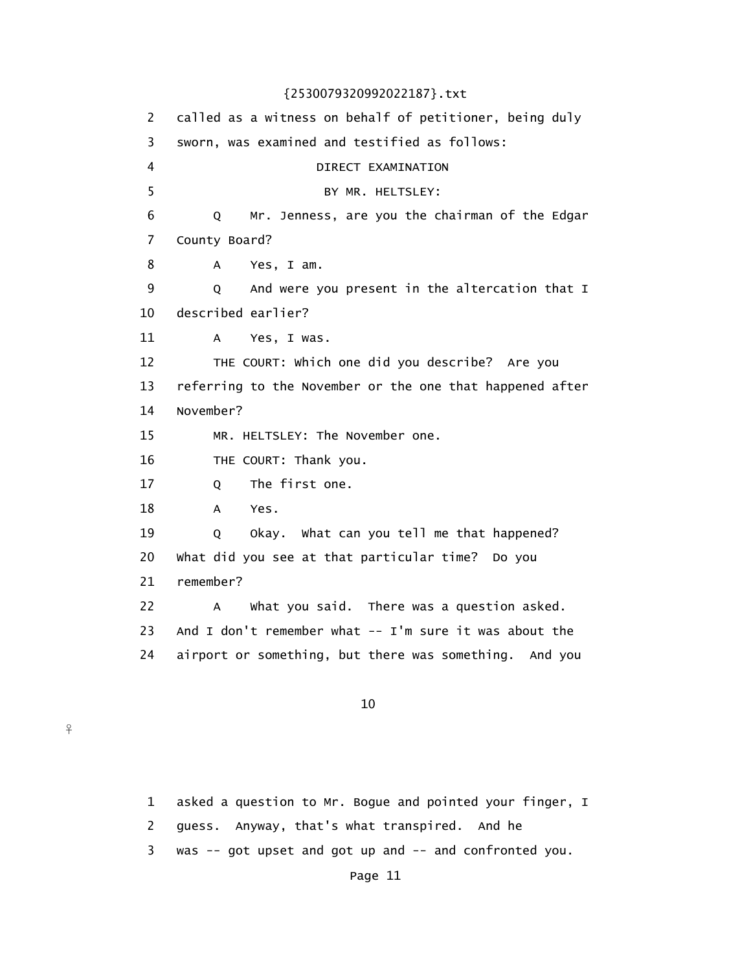2 called as a witness on behalf of petitioner, being duly 3 sworn, was examined and testified as follows: 4 DIRECT EXAMINATION 5 BY MR. HELTSLEY: 6 Q Mr. Jenness, are you the chairman of the Edgar 7 County Board? 8 A Yes, I am. 9 Q And were you present in the altercation that I 10 described earlier? 11 A Yes, I was. 12 THE COURT: Which one did you describe? Are you 13 referring to the November or the one that happened after 14 November? 15 MR. HELTSLEY: The November one. 16 THE COURT: Thank you. 17 Q The first one. 18 A Yes. 19 Q Okay. What can you tell me that happened? 20 What did you see at that particular time? Do you 21 remember? 22 A What you said. There was a question asked. 23 And I don't remember what -- I'm sure it was about the 24 airport or something, but there was something. And you

10

 $\frac{9}{1}$ 

 1 asked a question to Mr. Bogue and pointed your finger, I 2 guess. Anyway, that's what transpired. And he 3 was -- got upset and got up and -- and confronted you.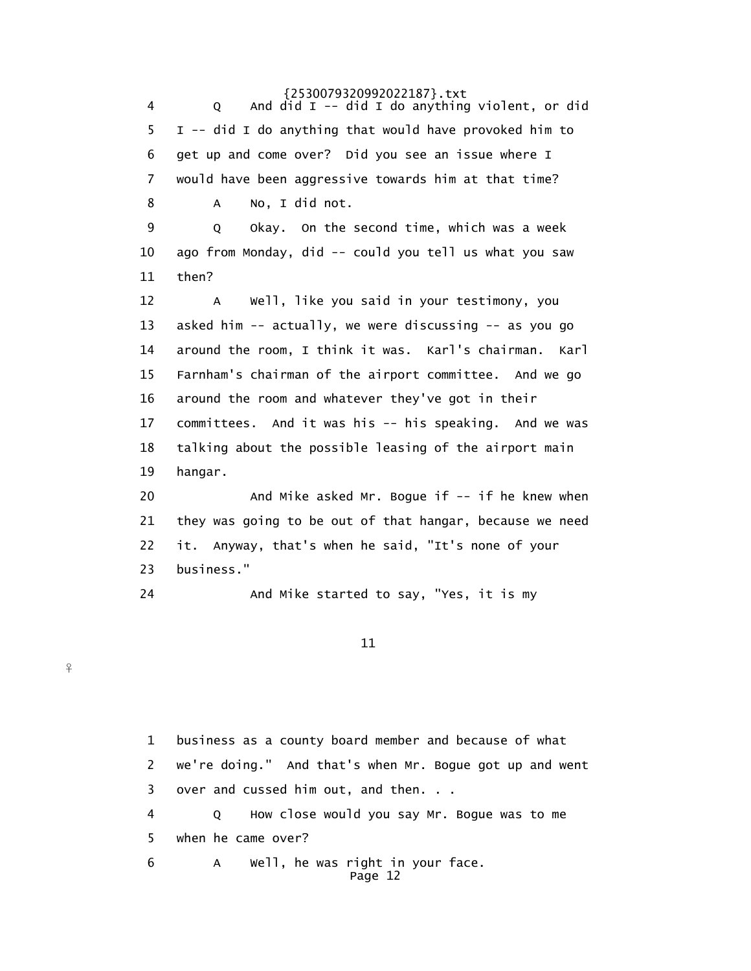4 Q And did I -- did I do anything violent, or did 5 I -- did I do anything that would have provoked him to 6 get up and come over? Did you see an issue where I 7 would have been aggressive towards him at that time? 8 A No, I did not. 9 Q Okay. On the second time, which was a week 10 ago from Monday, did -- could you tell us what you saw 11 then? 12 A Well, like you said in your testimony, you 13 asked him -- actually, we were discussing -- as you go 14 around the room, I think it was. Karl's chairman. Karl 15 Farnham's chairman of the airport committee. And we go 16 around the room and whatever they've got in their 17 committees. And it was his -- his speaking. And we was 18 talking about the possible leasing of the airport main 19 hangar. 20 And Mike asked Mr. Bogue if -- if he knew when 21 they was going to be out of that hangar, because we need 22 it. Anyway, that's when he said, "It's none of your 23 business." 24 And Mike started to say, "Yes, it is my

11

 $\frac{9}{1}$ 

 1 business as a county board member and because of what 2 we're doing." And that's when Mr. Bogue got up and went 3 over and cussed him out, and then. . . 4 Q How close would you say Mr. Bogue was to me 5 when he came over? 6 A Well, he was right in your face. Page 12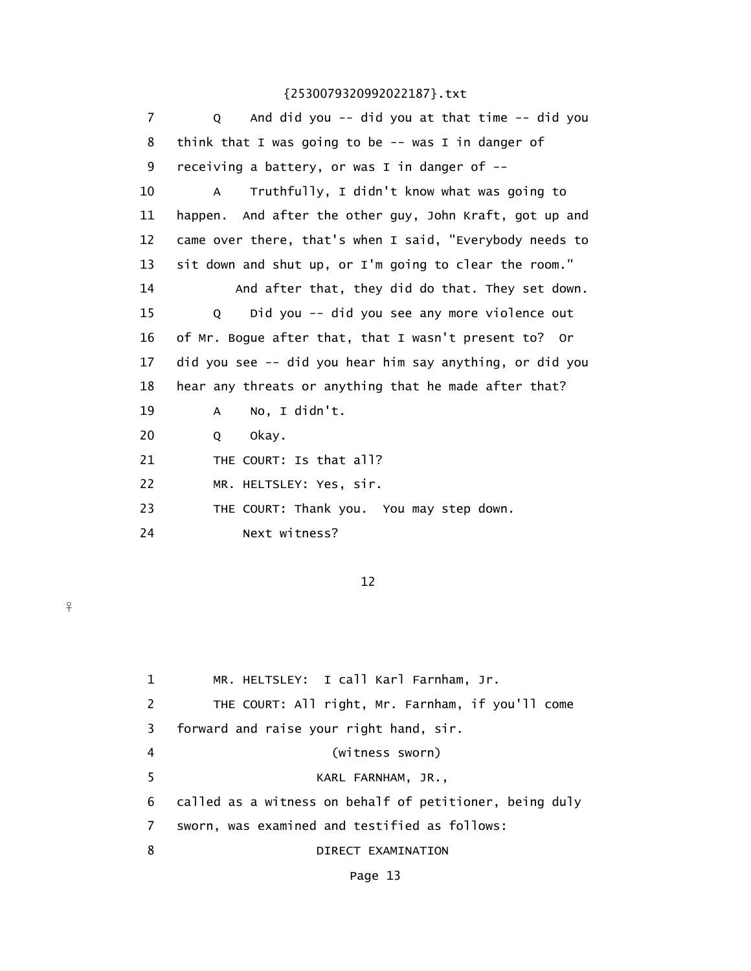| 7  | And did you -- did you at that time -- did you<br>Q          |
|----|--------------------------------------------------------------|
| 8  | think that I was going to be $-$ was I in danger of          |
| 9  | receiving a battery, or was I in danger of --                |
| 10 | Truthfully, I didn't know what was going to<br>A             |
| 11 | happen. And after the other guy, John Kraft, got up and      |
| 12 | came over there, that's when I said, "Everybody needs to     |
| 13 | sit down and shut up, or I'm going to clear the room."       |
| 14 | And after that, they did do that. They set down.             |
| 15 | Did you -- did you see any more violence out<br>$\mathsf{O}$ |
| 16 | of Mr. Bogue after that, that I wasn't present to? Or        |
| 17 | did you see -- did you hear him say anything, or did you     |
| 18 | hear any threats or anything that he made after that?        |
| 19 | No, I didn't.<br>A                                           |
| 20 | okay.<br>Q                                                   |
| 21 | THE COURT: Is that all?                                      |
| 22 | MR. HELTSLEY: Yes, sir.                                      |
| 23 | THE COURT: Thank you. You may step down.                     |
| 24 | Next witness?                                                |
|    |                                                              |

12

 $\frac{9}{5}$ 

| $\mathbf{1}$ | MR. HELTSLEY: I call Karl Farnham, Jr.                  |
|--------------|---------------------------------------------------------|
| 2            | THE COURT: All right, Mr. Farnham, if you'll come       |
| 3            | forward and raise your right hand, sir.                 |
| 4            | (witness sworn)                                         |
| 5.           | KARL FARNHAM, JR.,                                      |
| 6            | called as a witness on behalf of petitioner, being duly |
| 7            | sworn, was examined and testified as follows:           |
| 8            | DIRECT EXAMINATION                                      |
|              |                                                         |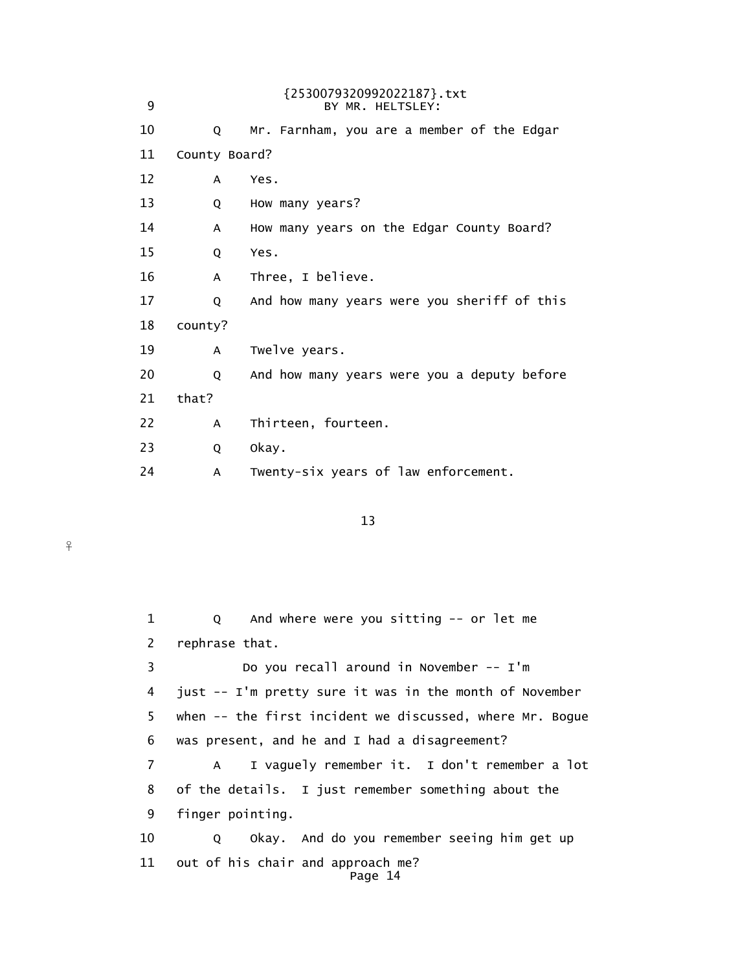| 9  |               | {2530079320992022187}.txt<br>BY MR. HELTSLEY: |
|----|---------------|-----------------------------------------------|
| 10 | Q             | Mr. Farnham, you are a member of the Edgar    |
| 11 | County Board? |                                               |
| 12 | A             | Yes.                                          |
| 13 | Q             | How many years?                               |
| 14 | A             | How many years on the Edgar County Board?     |
| 15 | Q             | Yes.                                          |
| 16 | A             | Three, I believe.                             |
| 17 | Q             | And how many years were you sheriff of this   |
| 18 | county?       |                                               |
| 19 | A             | Twelve years.                                 |
| 20 | Q             | And how many years were you a deputy before   |
| 21 | that?         |                                               |
| 22 | A             | Thirteen, fourteen.                           |
| 23 | Q             | Okay.                                         |
| 24 | A             | Twenty-six years of law enforcement.          |

13

 $\frac{9}{5}$ 

 1 Q And where were you sitting -- or let me 2 rephrase that. 3 Do you recall around in November -- I'm 4 just -- I'm pretty sure it was in the month of November 5 when -- the first incident we discussed, where Mr. Bogue 6 was present, and he and I had a disagreement? 7 A I vaguely remember it. I don't remember a lot 8 of the details. I just remember something about the 9 finger pointing. 10 Q Okay. And do you remember seeing him get up 11 out of his chair and approach me? Page 14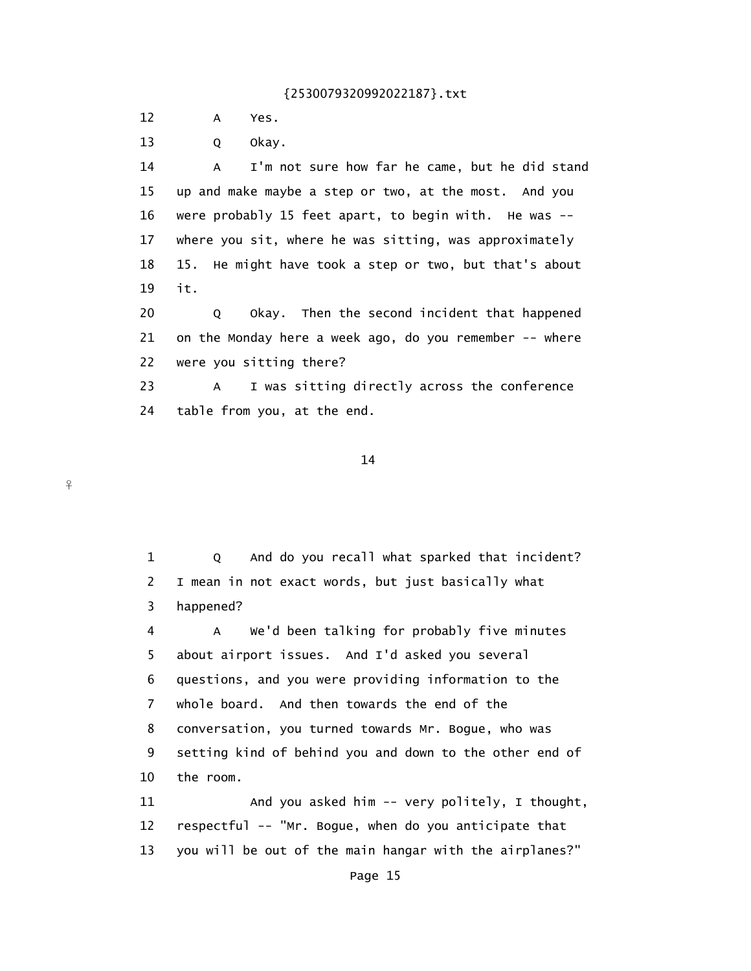12 A Yes.

 $\frac{9}{1}$ 

13 Q Okay.

 14 A I'm not sure how far he came, but he did stand 15 up and make maybe a step or two, at the most. And you 16 were probably 15 feet apart, to begin with. He was -- 17 where you sit, where he was sitting, was approximately 18 15. He might have took a step or two, but that's about 19 it.

20 Q Okay. Then the second incident that happened 21 on the Monday here a week ago, do you remember -- where 22 were you sitting there?

 23 A I was sitting directly across the conference 24 table from you, at the end.

14

 1 Q And do you recall what sparked that incident? 2 I mean in not exact words, but just basically what 3 happened? 4 A We'd been talking for probably five minutes 5 about airport issues. And I'd asked you several 6 questions, and you were providing information to the 7 whole board. And then towards the end of the 8 conversation, you turned towards Mr. Bogue, who was 9 setting kind of behind you and down to the other end of 10 the room. 11 And you asked him -- very politely, I thought, 12 respectful -- "Mr. Bogue, when do you anticipate that 13 you will be out of the main hangar with the airplanes?"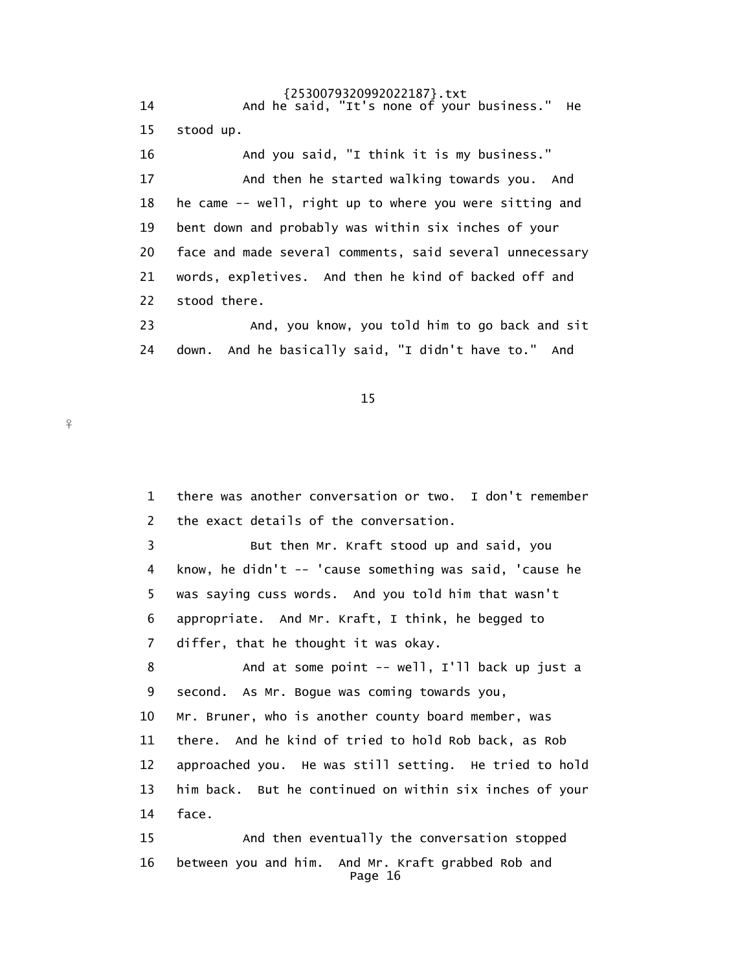{2530079320992022187}.txt 14 And he said, "It's none of your business." He 15 stood up. 16 And you said, "I think it is my business." 17 And then he started walking towards you. And 18 he came -- well, right up to where you were sitting and 19 bent down and probably was within six inches of your 20 face and made several comments, said several unnecessary 21 words, expletives. And then he kind of backed off and 22 stood there. 23 And, you know, you told him to go back and sit 24 down. And he basically said, "I didn't have to." And

15

 $\frac{9}{5}$ 

 1 there was another conversation or two. I don't remember 2 the exact details of the conversation. 3 But then Mr. Kraft stood up and said, you 4 know, he didn't -- 'cause something was said, 'cause he 5 was saying cuss words. And you told him that wasn't 6 appropriate. And Mr. Kraft, I think, he begged to 7 differ, that he thought it was okay. 8 And at some point -- well, I'll back up just a 9 second. As Mr. Bogue was coming towards you, 10 Mr. Bruner, who is another county board member, was 11 there. And he kind of tried to hold Rob back, as Rob 12 approached you. He was still setting. He tried to hold 13 him back. But he continued on within six inches of your 14 face. 15 And then eventually the conversation stopped 16 between you and him. And Mr. Kraft grabbed Rob and Page 16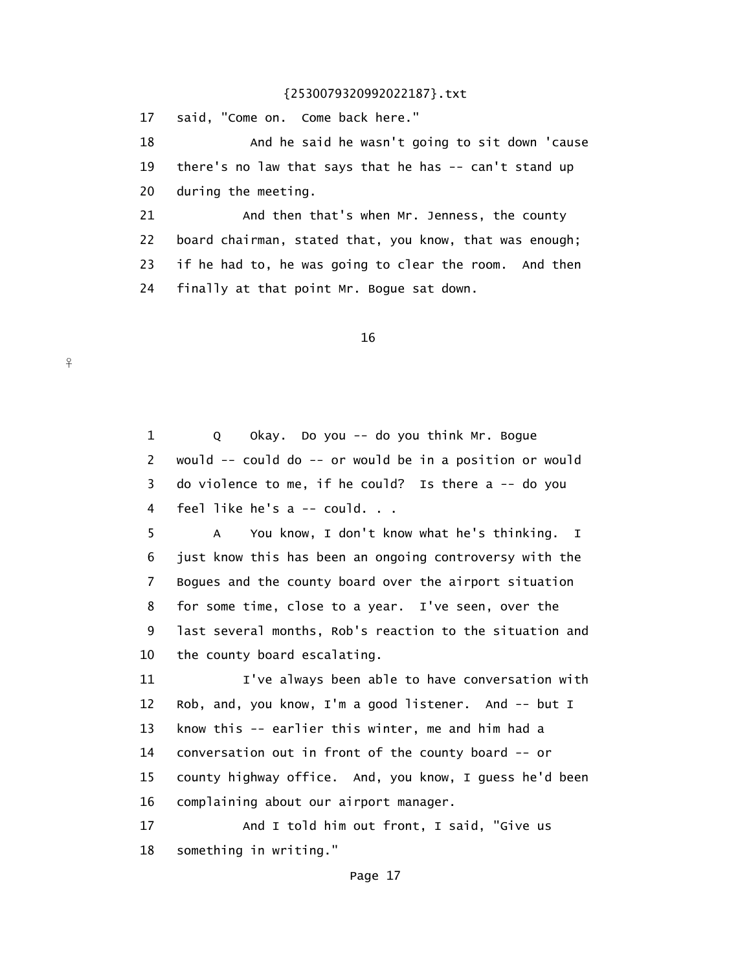17 said, "Come on. Come back here."

 $\frac{9}{1}$ 

 18 And he said he wasn't going to sit down 'cause 19 there's no law that says that he has -- can't stand up 20 during the meeting.

21 And then that's when Mr. Jenness, the county 22 board chairman, stated that, you know, that was enough; 23 if he had to, he was going to clear the room. And then 24 finally at that point Mr. Bogue sat down.

16

 1 Q Okay. Do you -- do you think Mr. Bogue 2 would -- could do -- or would be in a position or would 3 do violence to me, if he could? Is there a -- do you 4 feel like he's a -- could. . .

 5 A You know, I don't know what he's thinking. I 6 just know this has been an ongoing controversy with the 7 Bogues and the county board over the airport situation 8 for some time, close to a year. I've seen, over the 9 last several months, Rob's reaction to the situation and 10 the county board escalating.

 11 I've always been able to have conversation with 12 Rob, and, you know, I'm a good listener. And -- but I 13 know this -- earlier this winter, me and him had a 14 conversation out in front of the county board -- or 15 county highway office. And, you know, I guess he'd been 16 complaining about our airport manager.

17 And I told him out front, I said, "Give us 18 something in writing."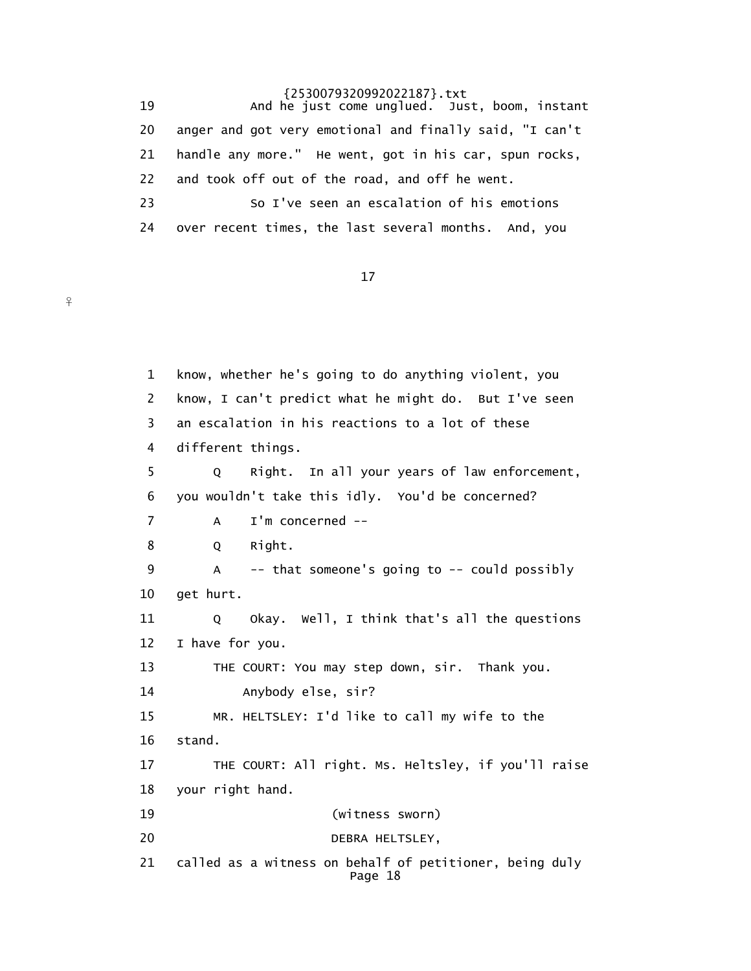19 And he just come unglued. Just, boom, instant 20 anger and got very emotional and finally said, "I can't 21 handle any more." He went, got in his car, spun rocks, 22 and took off out of the road, and off he went. 23 So I've seen an escalation of his emotions 24 over recent times, the last several months. And, you

17

 $\frac{9}{5}$ 

 1 know, whether he's going to do anything violent, you 2 know, I can't predict what he might do. But I've seen 3 an escalation in his reactions to a lot of these 4 different things. 5 Q Right. In all your years of law enforcement, 6 you wouldn't take this idly. You'd be concerned? 7 A I'm concerned -- 8 Q Right. 9 A -- that someone's going to -- could possibly 10 get hurt. 11 Q Okay. Well, I think that's all the questions 12 I have for you. 13 THE COURT: You may step down, sir. Thank you. 14 Anybody else, sir? 15 MR. HELTSLEY: I'd like to call my wife to the 16 stand. 17 THE COURT: All right. Ms. Heltsley, if you'll raise 18 your right hand. 19 (witness sworn) 20 DEBRA HELTSLEY, 21 called as a witness on behalf of petitioner, being duly Page 18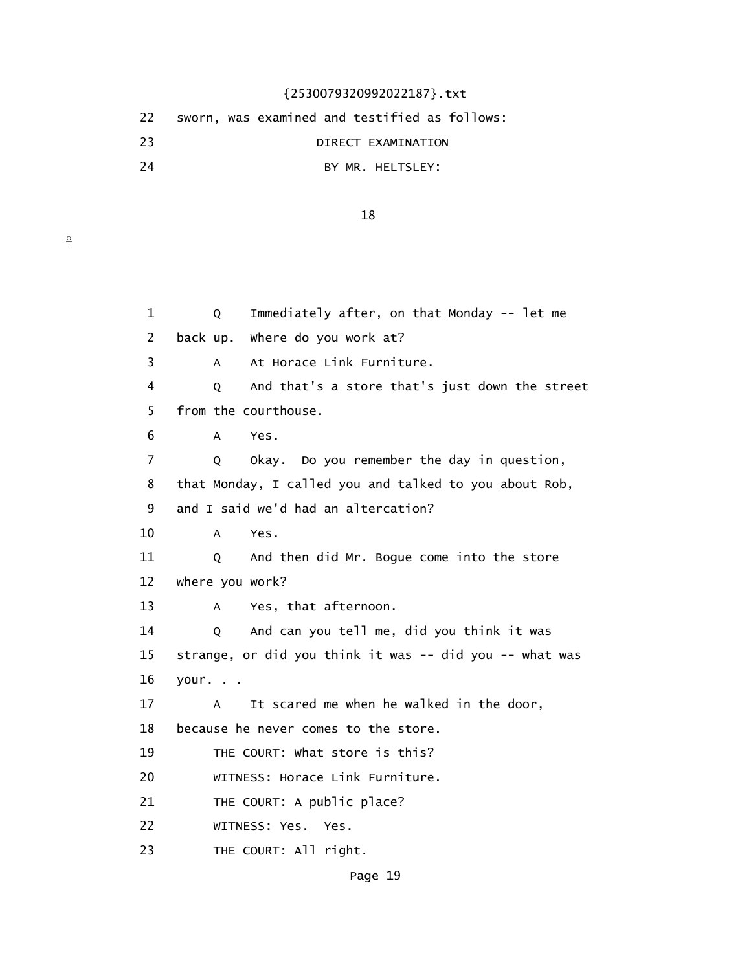|     | 22 sworn, was examined and testified as follows: |
|-----|--------------------------------------------------|
| -23 | DIRECT EXAMINATION                               |
| 24  | BY MR. HELTSLEY:                                 |

 $\frac{9}{4}$ 

18

 1 Q Immediately after, on that Monday -- let me 2 back up. Where do you work at? 3 A At Horace Link Furniture. 4 Q And that's a store that's just down the street 5 from the courthouse. 6 A Yes. 7 Q Okay. Do you remember the day in question, 8 that Monday, I called you and talked to you about Rob, 9 and I said we'd had an altercation? 10 A Yes. 11 Q And then did Mr. Bogue come into the store 12 where you work? 13 A Yes, that afternoon. 14 Q And can you tell me, did you think it was 15 strange, or did you think it was -- did you -- what was 16 your. . . 17 A It scared me when he walked in the door, 18 because he never comes to the store. 19 THE COURT: What store is this? 20 WITNESS: Horace Link Furniture. 21 THE COURT: A public place? 22 WITNESS: Yes. Yes. 23 THE COURT: All right.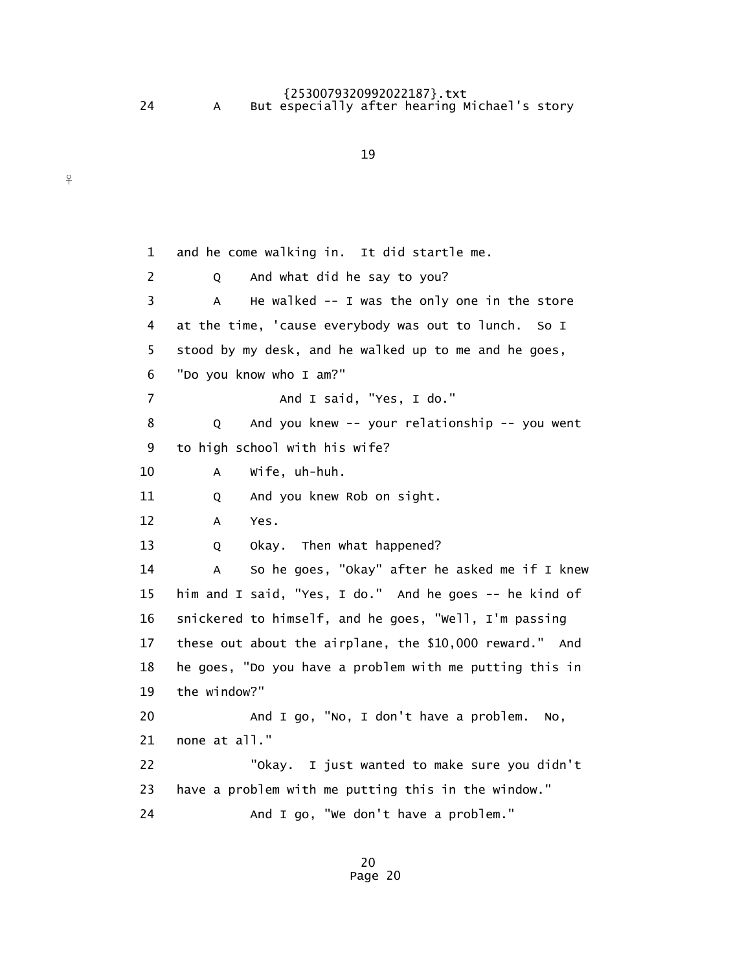$\frac{9}{1}$ 

## {2530079320992022187}.txt 24 A But especially after hearing Michael's story

19

 1 and he come walking in. It did startle me. 2 Q And what did he say to you? 3 A He walked -- I was the only one in the store 4 at the time, 'cause everybody was out to lunch. So I 5 stood by my desk, and he walked up to me and he goes, 6 "Do you know who I am?" 7 And I said, "Yes, I do." 8 Q And you knew -- your relationship -- you went 9 to high school with his wife? 10 A Wife, uh-huh. 11 Q And you knew Rob on sight. 12 A Yes. 13 Q Okay. Then what happened? 14 A So he goes, "Okay" after he asked me if I knew 15 him and I said, "Yes, I do." And he goes -- he kind of 16 snickered to himself, and he goes, "Well, I'm passing 17 these out about the airplane, the \$10,000 reward." And 18 he goes, "Do you have a problem with me putting this in 19 the window?" 20 And I go, "No, I don't have a problem. No, 21 none at all." 22 "Okay. I just wanted to make sure you didn't 23 have a problem with me putting this in the window." 24 And I go, "We don't have a problem."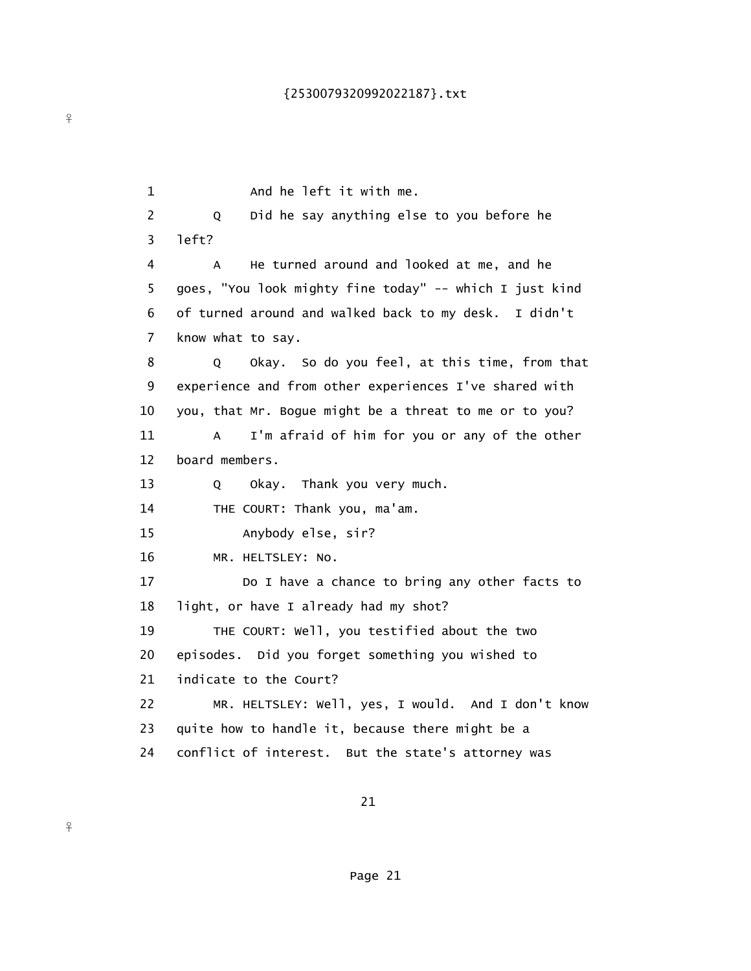1 And he left it with me. 2 Q Did he say anything else to you before he 3 left? 4 A He turned around and looked at me, and he 5 goes, "You look mighty fine today" -- which I just kind 6 of turned around and walked back to my desk. I didn't 7 know what to say. 8 Q Okay. So do you feel, at this time, from that 9 experience and from other experiences I've shared with 10 you, that Mr. Bogue might be a threat to me or to you? 11 A I'm afraid of him for you or any of the other 12 board members. 13 Q Okay. Thank you very much. 14 THE COURT: Thank you, ma'am. 15 Anybody else, sir? 16 MR. HELTSLEY: No. 17 Do I have a chance to bring any other facts to 18 light, or have I already had my shot? 19 THE COURT: Well, you testified about the two 20 episodes. Did you forget something you wished to 21 indicate to the Court? 22 MR. HELTSLEY: Well, yes, I would. And I don't know 23 quite how to handle it, because there might be a 24 conflict of interest. But the state's attorney was

21

 $\frac{9}{5}$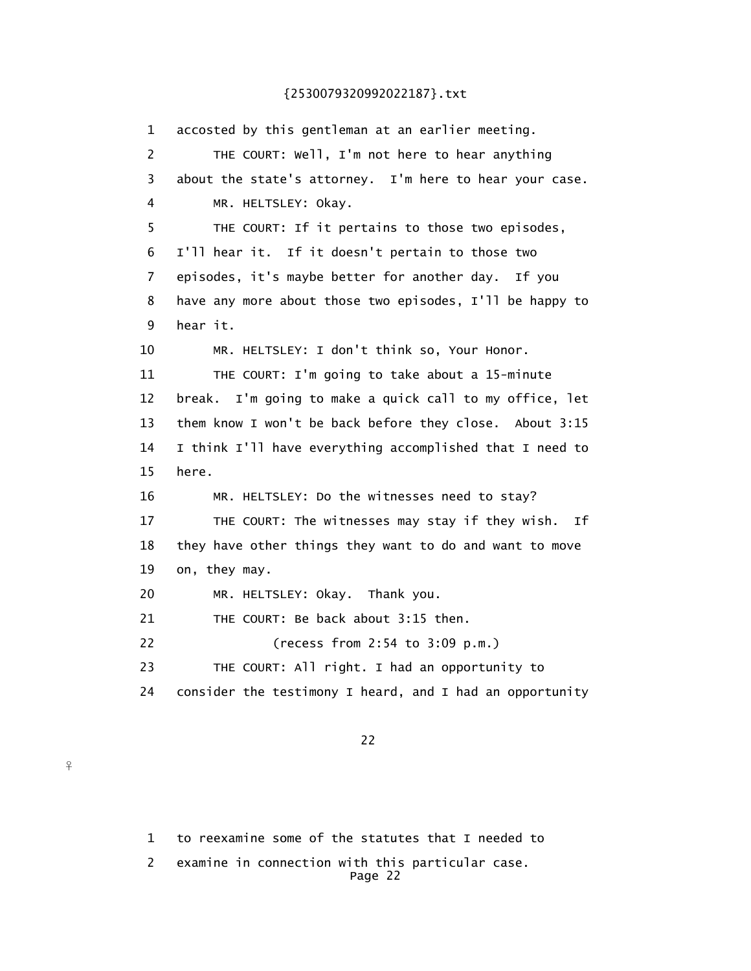1 accosted by this gentleman at an earlier meeting. 2 THE COURT: Well, I'm not here to hear anything 3 about the state's attorney. I'm here to hear your case. 4 MR. HELTSLEY: Okay. 5 THE COURT: If it pertains to those two episodes, 6 I'll hear it. If it doesn't pertain to those two 7 episodes, it's maybe better for another day. If you 8 have any more about those two episodes, I'll be happy to 9 hear it. 10 MR. HELTSLEY: I don't think so, Your Honor. 11 THE COURT: I'm going to take about a 15-minute 12 break. I'm going to make a quick call to my office, let 13 them know I won't be back before they close. About 3:15 14 I think I'll have everything accomplished that I need to 15 here. 16 MR. HELTSLEY: Do the witnesses need to stay? 17 THE COURT: The witnesses may stay if they wish. If 18 they have other things they want to do and want to move 19 on, they may. 20 MR. HELTSLEY: Okay. Thank you. 21 THE COURT: Be back about 3:15 then. 22 (recess from 2:54 to 3:09 p.m.) 23 THE COURT: All right. I had an opportunity to 24 consider the testimony I heard, and I had an opportunity

<u>22</u>

1 to reexamine some of the statutes that I needed to

 2 examine in connection with this particular case. Page 22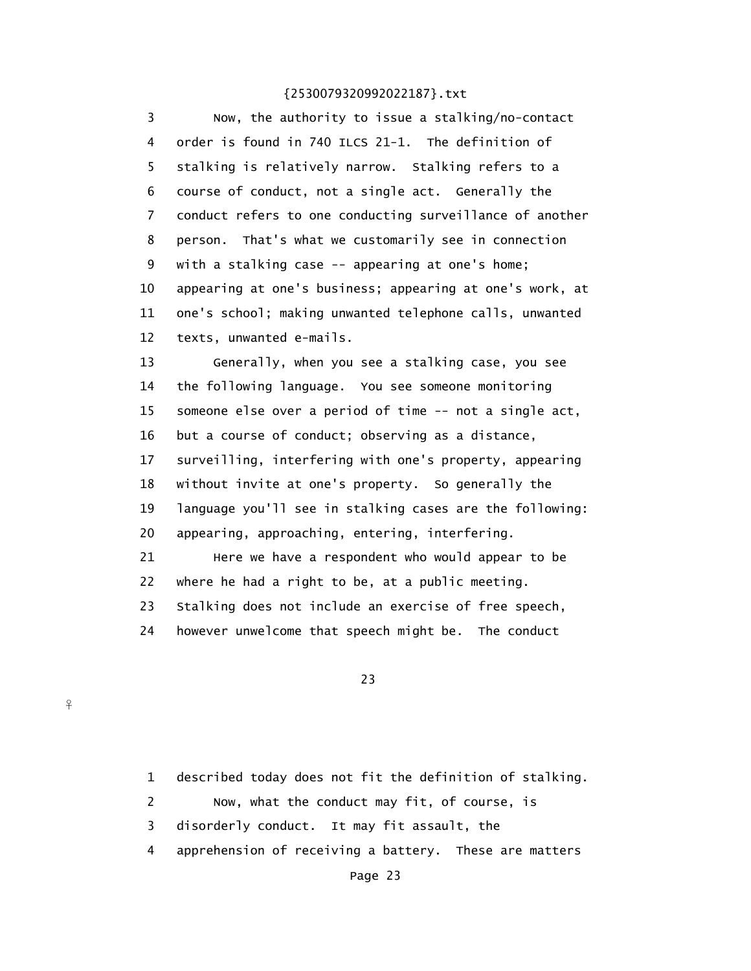3 Now, the authority to issue a stalking/no-contact 4 order is found in 740 ILCS 21-1. The definition of 5 stalking is relatively narrow. Stalking refers to a 6 course of conduct, not a single act. Generally the 7 conduct refers to one conducting surveillance of another 8 person. That's what we customarily see in connection 9 with a stalking case -- appearing at one's home; 10 appearing at one's business; appearing at one's work, at 11 one's school; making unwanted telephone calls, unwanted 12 texts, unwanted e-mails.

 13 Generally, when you see a stalking case, you see 14 the following language. You see someone monitoring 15 someone else over a period of time -- not a single act, 16 but a course of conduct; observing as a distance, 17 surveilling, interfering with one's property, appearing 18 without invite at one's property. So generally the 19 language you'll see in stalking cases are the following: 20 appearing, approaching, entering, interfering. 21 Here we have a respondent who would appear to be 22 where he had a right to be, at a public meeting. 23 Stalking does not include an exercise of free speech, 24 however unwelcome that speech might be. The conduct

## 23

 $\frac{9}{1}$ 

 1 described today does not fit the definition of stalking. 2 Now, what the conduct may fit, of course, is 3 disorderly conduct. It may fit assault, the 4 apprehension of receiving a battery. These are matters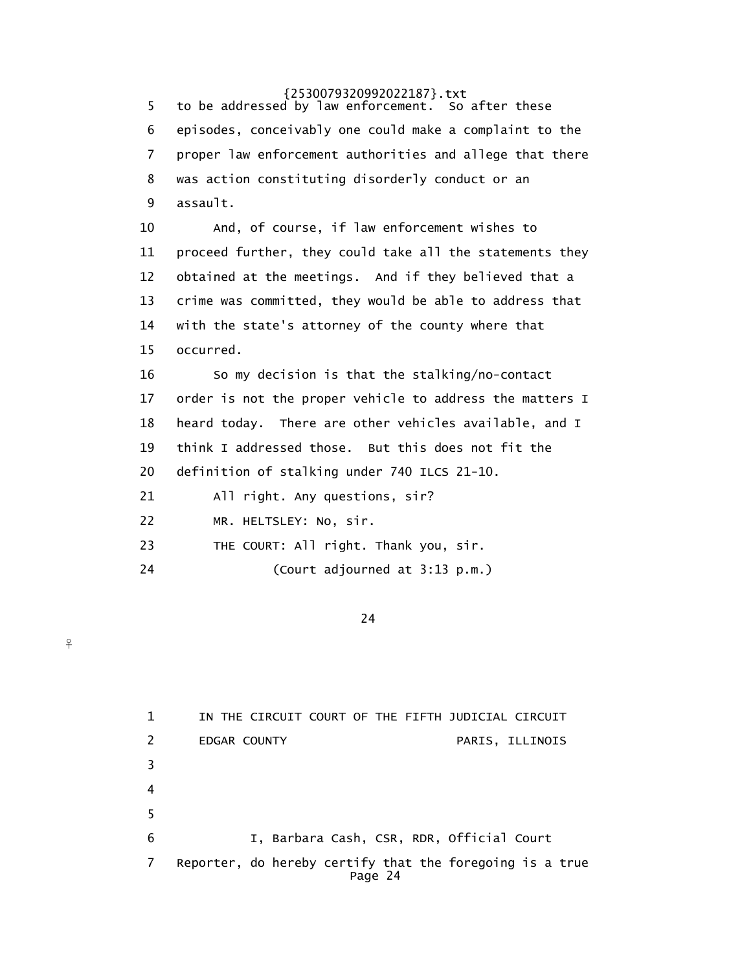5 to be addressed by law enforcement. So after these 6 episodes, conceivably one could make a complaint to the 7 proper law enforcement authorities and allege that there 8 was action constituting disorderly conduct or an 9 assault. 10 And, of course, if law enforcement wishes to 11 proceed further, they could take all the statements they 12 obtained at the meetings. And if they believed that a 13 crime was committed, they would be able to address that 14 with the state's attorney of the county where that 15 occurred. 16 So my decision is that the stalking/no-contact 17 order is not the proper vehicle to address the matters I 18 heard today. There are other vehicles available, and I 19 think I addressed those. But this does not fit the 20 definition of stalking under 740 ILCS 21-10. 21 All right. Any questions, sir? 22 MR. HELTSLEY: No, sir. 23 THE COURT: All right. Thank you, sir. 24 (Court adjourned at 3:13 p.m.)

<u>24</u>

 $\frac{9}{5}$ 

 1 IN THE CIRCUIT COURT OF THE FIFTH JUDICIAL CIRCUIT 2 EDGAR COUNTY PARIS, ILLINOIS 3 4  $5<sub>5</sub>$  6 I, Barbara Cash, CSR, RDR, Official Court 7 Reporter, do hereby certify that the foregoing is a true Page 24